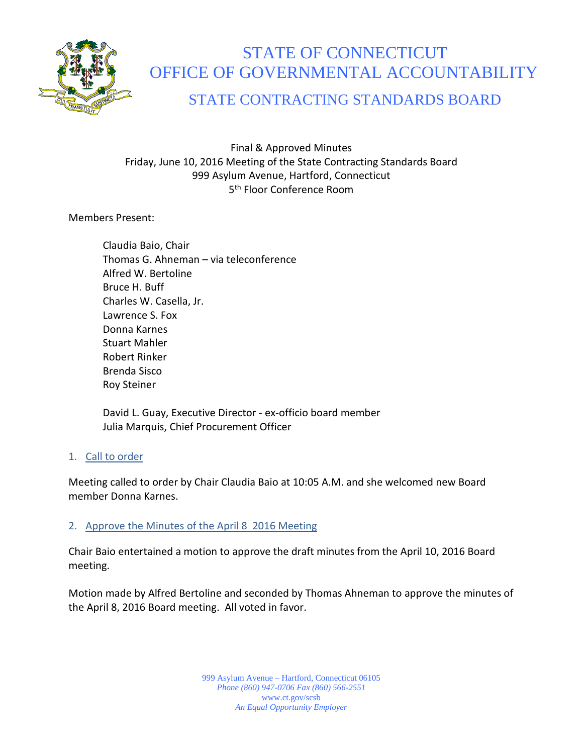

# STATE OF CONNECTICUT OFFICE OF GOVERNMENTAL ACCOUNTABILITY

# STATE CONTRACTING STANDARDS BOARD

Final & Approved Minutes Friday, June 10, 2016 Meeting of the State Contracting Standards Board 999 Asylum Avenue, Hartford, Connecticut 5<sup>th</sup> Floor Conference Room

Members Present:

Claudia Baio, Chair Thomas G. Ahneman – via teleconference Alfred W. Bertoline Bruce H. Buff Charles W. Casella, Jr. Lawrence S. Fox Donna Karnes Stuart Mahler Robert Rinker Brenda Sisco Roy Steiner

David L. Guay, Executive Director - ex-officio board member Julia Marquis, Chief Procurement Officer

#### 1. Call to order

Meeting called to order by Chair Claudia Baio at 10:05 A.M. and she welcomed new Board member Donna Karnes.

## 2. Approve the Minutes of the April 8 2016 Meeting

Chair Baio entertained a motion to approve the draft minutes from the April 10, 2016 Board meeting.

Motion made by Alfred Bertoline and seconded by Thomas Ahneman to approve the minutes of the April 8, 2016 Board meeting. All voted in favor.

> 999 Asylum Avenue – Hartford, Connecticut 06105 *Phone (860) 947-0706 Fax (860) 566-2551* www.ct.gov/scsb *An Equal Opportunity Employer*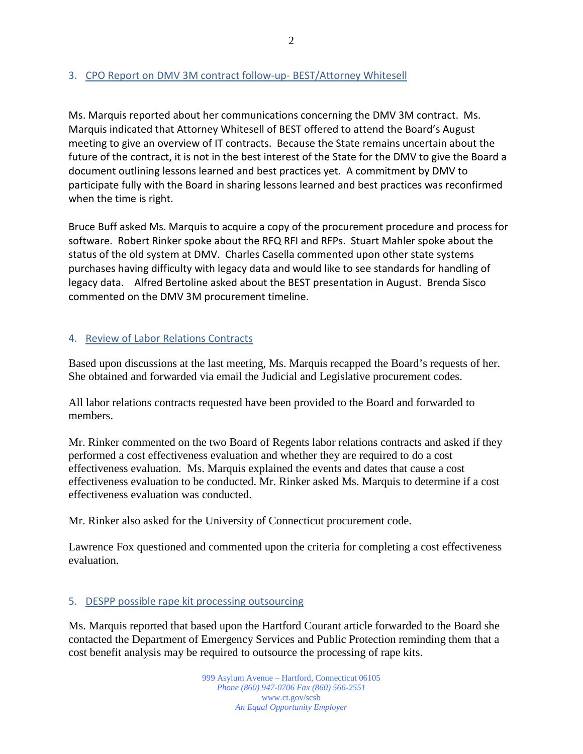## 3. CPO Report on DMV 3M contract follow-up- BEST/Attorney Whitesell

Ms. Marquis reported about her communications concerning the DMV 3M contract. Ms. Marquis indicated that Attorney Whitesell of BEST offered to attend the Board's August meeting to give an overview of IT contracts. Because the State remains uncertain about the future of the contract, it is not in the best interest of the State for the DMV to give the Board a document outlining lessons learned and best practices yet. A commitment by DMV to participate fully with the Board in sharing lessons learned and best practices was reconfirmed when the time is right.

Bruce Buff asked Ms. Marquis to acquire a copy of the procurement procedure and process for software. Robert Rinker spoke about the RFQ RFI and RFPs. Stuart Mahler spoke about the status of the old system at DMV. Charles Casella commented upon other state systems purchases having difficulty with legacy data and would like to see standards for handling of legacy data. Alfred Bertoline asked about the BEST presentation in August. Brenda Sisco commented on the DMV 3M procurement timeline.

## 4. Review of Labor Relations Contracts

Based upon discussions at the last meeting, Ms. Marquis recapped the Board's requests of her. She obtained and forwarded via email the Judicial and Legislative procurement codes.

All labor relations contracts requested have been provided to the Board and forwarded to members.

Mr. Rinker commented on the two Board of Regents labor relations contracts and asked if they performed a cost effectiveness evaluation and whether they are required to do a cost effectiveness evaluation. Ms. Marquis explained the events and dates that cause a cost effectiveness evaluation to be conducted. Mr. Rinker asked Ms. Marquis to determine if a cost effectiveness evaluation was conducted.

Mr. Rinker also asked for the University of Connecticut procurement code.

Lawrence Fox questioned and commented upon the criteria for completing a cost effectiveness evaluation.

#### 5. DESPP possible rape kit processing outsourcing

Ms. Marquis reported that based upon the Hartford Courant article forwarded to the Board she contacted the Department of Emergency Services and Public Protection reminding them that a cost benefit analysis may be required to outsource the processing of rape kits.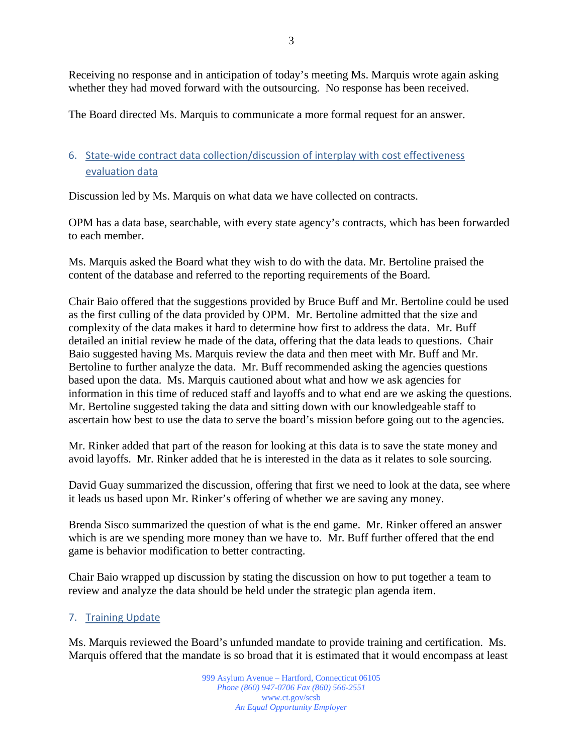Receiving no response and in anticipation of today's meeting Ms. Marquis wrote again asking whether they had moved forward with the outsourcing. No response has been received.

The Board directed Ms. Marquis to communicate a more formal request for an answer.

# 6. State-wide contract data collection/discussion of interplay with cost effectiveness evaluation data

Discussion led by Ms. Marquis on what data we have collected on contracts.

OPM has a data base, searchable, with every state agency's contracts, which has been forwarded to each member.

Ms. Marquis asked the Board what they wish to do with the data. Mr. Bertoline praised the content of the database and referred to the reporting requirements of the Board.

Chair Baio offered that the suggestions provided by Bruce Buff and Mr. Bertoline could be used as the first culling of the data provided by OPM. Mr. Bertoline admitted that the size and complexity of the data makes it hard to determine how first to address the data. Mr. Buff detailed an initial review he made of the data, offering that the data leads to questions. Chair Baio suggested having Ms. Marquis review the data and then meet with Mr. Buff and Mr. Bertoline to further analyze the data. Mr. Buff recommended asking the agencies questions based upon the data. Ms. Marquis cautioned about what and how we ask agencies for information in this time of reduced staff and layoffs and to what end are we asking the questions. Mr. Bertoline suggested taking the data and sitting down with our knowledgeable staff to ascertain how best to use the data to serve the board's mission before going out to the agencies.

Mr. Rinker added that part of the reason for looking at this data is to save the state money and avoid layoffs. Mr. Rinker added that he is interested in the data as it relates to sole sourcing.

David Guay summarized the discussion, offering that first we need to look at the data, see where it leads us based upon Mr. Rinker's offering of whether we are saving any money.

Brenda Sisco summarized the question of what is the end game. Mr. Rinker offered an answer which is are we spending more money than we have to. Mr. Buff further offered that the end game is behavior modification to better contracting.

Chair Baio wrapped up discussion by stating the discussion on how to put together a team to review and analyze the data should be held under the strategic plan agenda item.

## 7. Training Update

Ms. Marquis reviewed the Board's unfunded mandate to provide training and certification. Ms. Marquis offered that the mandate is so broad that it is estimated that it would encompass at least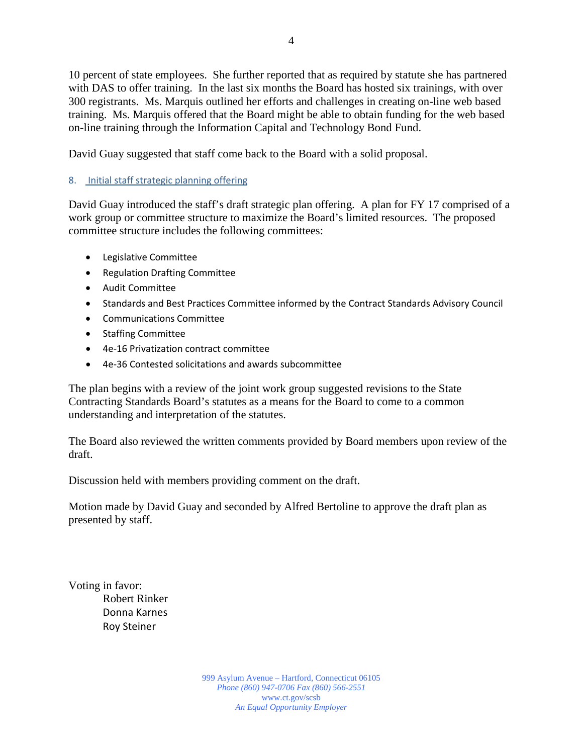10 percent of state employees. She further reported that as required by statute she has partnered with DAS to offer training. In the last six months the Board has hosted six trainings, with over 300 registrants. Ms. Marquis outlined her efforts and challenges in creating on-line web based training. Ms. Marquis offered that the Board might be able to obtain funding for the web based on-line training through the Information Capital and Technology Bond Fund.

David Guay suggested that staff come back to the Board with a solid proposal.

#### 8. Initial staff strategic planning offering

David Guay introduced the staff's draft strategic plan offering. A plan for FY 17 comprised of a work group or committee structure to maximize the Board's limited resources. The proposed committee structure includes the following committees:

- Legislative Committee
- Regulation Drafting Committee
- Audit Committee
- Standards and Best Practices Committee informed by the Contract Standards Advisory Council
- Communications Committee
- Staffing Committee
- 4e-16 Privatization contract committee
- 4e-36 Contested solicitations and awards subcommittee

The plan begins with a review of the joint work group suggested revisions to the State Contracting Standards Board's statutes as a means for the Board to come to a common understanding and interpretation of the statutes.

The Board also reviewed the written comments provided by Board members upon review of the draft.

Discussion held with members providing comment on the draft.

Motion made by David Guay and seconded by Alfred Bertoline to approve the draft plan as presented by staff.

Voting in favor: Robert Rinker Donna Karnes Roy Steiner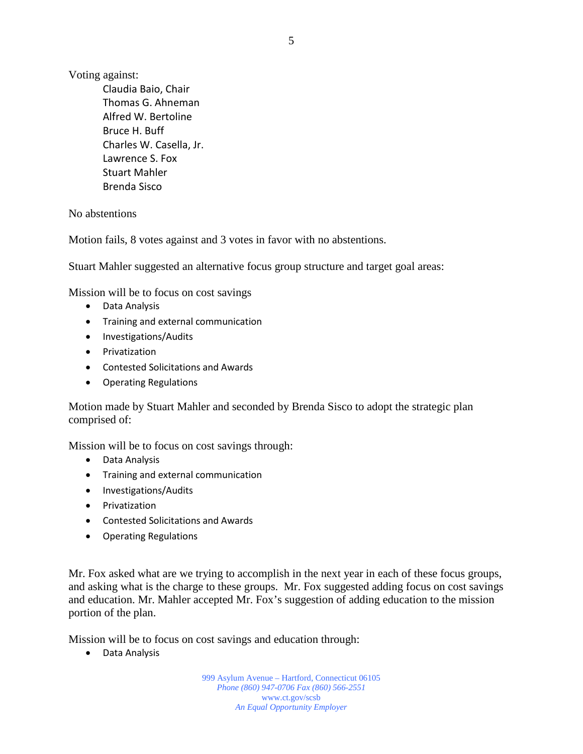Voting against:

Claudia Baio, Chair Thomas G. Ahneman Alfred W. Bertoline Bruce H. Buff Charles W. Casella, Jr. Lawrence S. Fox Stuart Mahler Brenda Sisco

No abstentions

Motion fails, 8 votes against and 3 votes in favor with no abstentions.

Stuart Mahler suggested an alternative focus group structure and target goal areas:

Mission will be to focus on cost savings

- Data Analysis
- Training and external communication
- Investigations/Audits
- Privatization
- Contested Solicitations and Awards
- Operating Regulations

Motion made by Stuart Mahler and seconded by Brenda Sisco to adopt the strategic plan comprised of:

Mission will be to focus on cost savings through:

- Data Analysis
- Training and external communication
- Investigations/Audits
- Privatization
- Contested Solicitations and Awards
- Operating Regulations

Mr. Fox asked what are we trying to accomplish in the next year in each of these focus groups, and asking what is the charge to these groups. Mr. Fox suggested adding focus on cost savings and education. Mr. Mahler accepted Mr. Fox's suggestion of adding education to the mission portion of the plan.

Mission will be to focus on cost savings and education through:

• Data Analysis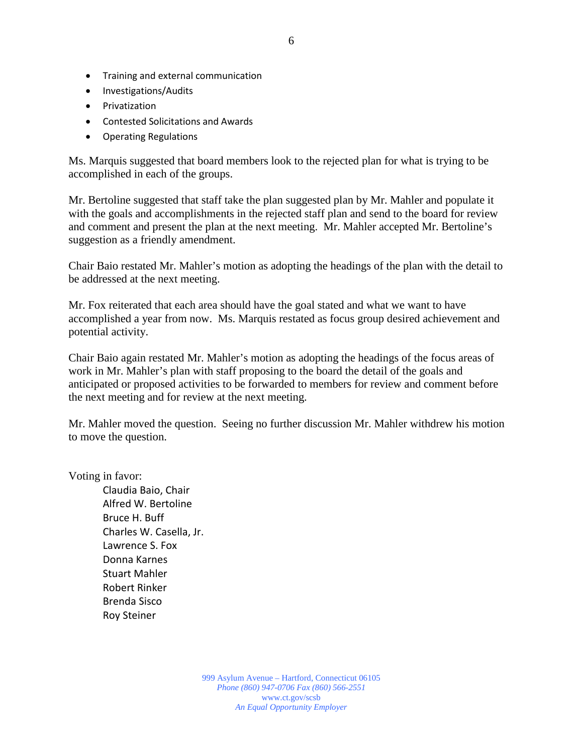- Training and external communication
- Investigations/Audits
- Privatization
- Contested Solicitations and Awards
- Operating Regulations

Ms. Marquis suggested that board members look to the rejected plan for what is trying to be accomplished in each of the groups.

Mr. Bertoline suggested that staff take the plan suggested plan by Mr. Mahler and populate it with the goals and accomplishments in the rejected staff plan and send to the board for review and comment and present the plan at the next meeting. Mr. Mahler accepted Mr. Bertoline's suggestion as a friendly amendment.

Chair Baio restated Mr. Mahler's motion as adopting the headings of the plan with the detail to be addressed at the next meeting.

Mr. Fox reiterated that each area should have the goal stated and what we want to have accomplished a year from now. Ms. Marquis restated as focus group desired achievement and potential activity.

Chair Baio again restated Mr. Mahler's motion as adopting the headings of the focus areas of work in Mr. Mahler's plan with staff proposing to the board the detail of the goals and anticipated or proposed activities to be forwarded to members for review and comment before the next meeting and for review at the next meeting.

Mr. Mahler moved the question. Seeing no further discussion Mr. Mahler withdrew his motion to move the question.

Voting in favor:

Claudia Baio, Chair Alfred W. Bertoline Bruce H. Buff Charles W. Casella, Jr. Lawrence S. Fox Donna Karnes Stuart Mahler Robert Rinker Brenda Sisco Roy Steiner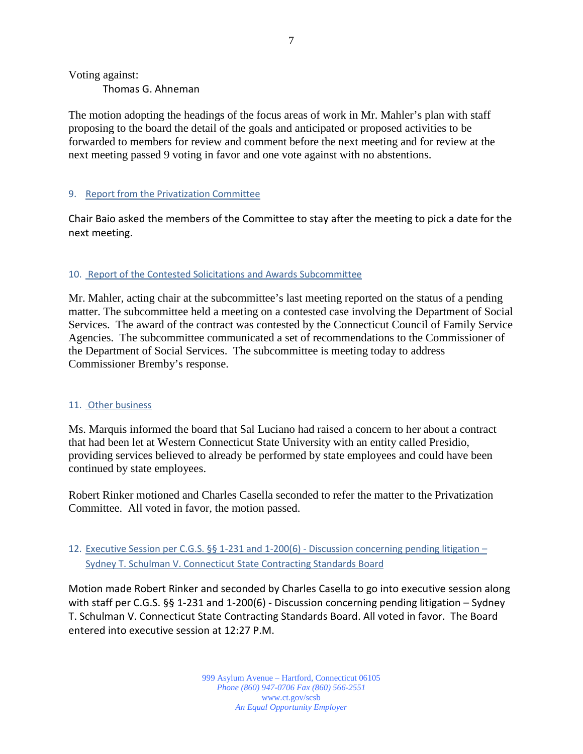Voting against:

Thomas G. Ahneman

The motion adopting the headings of the focus areas of work in Mr. Mahler's plan with staff proposing to the board the detail of the goals and anticipated or proposed activities to be forwarded to members for review and comment before the next meeting and for review at the next meeting passed 9 voting in favor and one vote against with no abstentions.

#### 9. Report from the Privatization Committee

Chair Baio asked the members of the Committee to stay after the meeting to pick a date for the next meeting.

#### 10. Report of the Contested Solicitations and Awards Subcommittee

Mr. Mahler, acting chair at the subcommittee's last meeting reported on the status of a pending matter. The subcommittee held a meeting on a contested case involving the Department of Social Services. The award of the contract was contested by the Connecticut Council of Family Service Agencies. The subcommittee communicated a set of recommendations to the Commissioner of the Department of Social Services. The subcommittee is meeting today to address Commissioner Bremby's response.

#### 11. Other business

Ms. Marquis informed the board that Sal Luciano had raised a concern to her about a contract that had been let at Western Connecticut State University with an entity called Presidio, providing services believed to already be performed by state employees and could have been continued by state employees.

Robert Rinker motioned and Charles Casella seconded to refer the matter to the Privatization Committee. All voted in favor, the motion passed.

#### 12. Executive Session per C.G.S. §§ 1-231 and 1-200(6) - Discussion concerning pending litigation – Sydney T. Schulman V. Connecticut State Contracting Standards Board

Motion made Robert Rinker and seconded by Charles Casella to go into executive session along with staff per C.G.S. §§ 1-231 and 1-200(6) - Discussion concerning pending litigation – Sydney T. Schulman V. Connecticut State Contracting Standards Board. All voted in favor. The Board entered into executive session at 12:27 P.M.